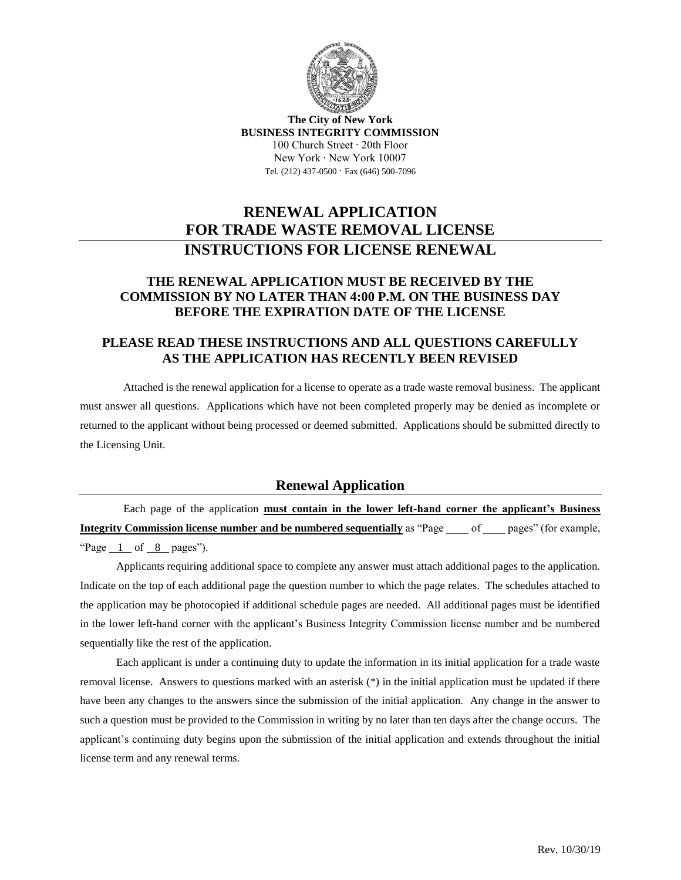

**The City of New York BUSINESS INTEGRITY COMMISSION** 100 Church Street ∙ 20th Floor New York ∙ New York 10007 Tel. (212) 437-0500 ∙ Fax (646) 500-7096

## **RENEWAL APPLICATION FOR TRADE WASTE REMOVAL LICENSE INSTRUCTIONS FOR LICENSE RENEWAL**

## **THE RENEWAL APPLICATION MUST BE RECEIVED BY THE COMMISSION BY NO LATER THAN 4:00 P.M. ON THE BUSINESS DAY BEFORE THE EXPIRATION DATE OF THE LICENSE**

### **PLEASE READ THESE INSTRUCTIONS AND ALL QUESTIONS CAREFULLY AS THE APPLICATION HAS RECENTLY BEEN REVISED**

 Attached is the renewal application for a license to operate as a trade waste removal business. The applicant must answer all questions. Applications which have not been completed properly may be denied as incomplete or returned to the applicant without being processed or deemed submitted. Applications should be submitted directly to the Licensing Unit.

### **Renewal Application**

 Each page of the application **must contain in the lower left-hand corner the applicant's Business Integrity Commission license number and be numbered sequentially** as "Page of pages" (for example, "Page  $1$  of  $8$  pages").

 Applicants requiring additional space to complete any answer must attach additional pages to the application. Indicate on the top of each additional page the question number to which the page relates. The schedules attached to the application may be photocopied if additional schedule pages are needed. All additional pages must be identified in the lower left-hand corner with the applicant's Business Integrity Commission license number and be numbered sequentially like the rest of the application.

 Each applicant is under a continuing duty to update the information in its initial application for a trade waste removal license. Answers to questions marked with an asterisk (\*) in the initial application must be updated if there have been any changes to the answers since the submission of the initial application. Any change in the answer to such a question must be provided to the Commission in writing by no later than ten days after the change occurs. The applicant's continuing duty begins upon the submission of the initial application and extends throughout the initial license term and any renewal terms.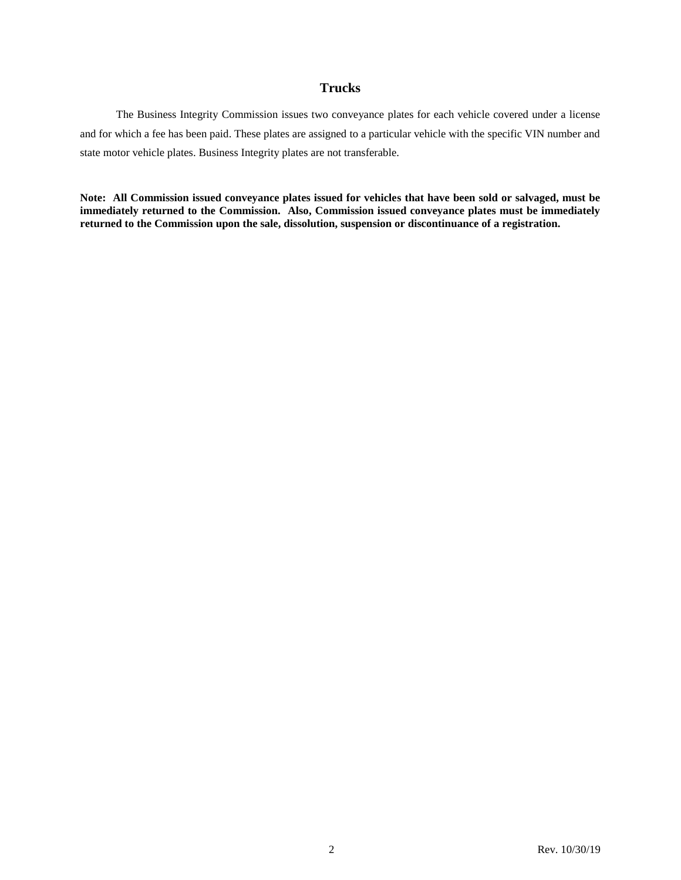### **Trucks**

 The Business Integrity Commission issues two conveyance plates for each vehicle covered under a license and for which a fee has been paid. These plates are assigned to a particular vehicle with the specific VIN number and state motor vehicle plates. Business Integrity plates are not transferable.

**Note: All Commission issued conveyance plates issued for vehicles that have been sold or salvaged, must be immediately returned to the Commission. Also, Commission issued conveyance plates must be immediately returned to the Commission upon the sale, dissolution, suspension or discontinuance of a registration.**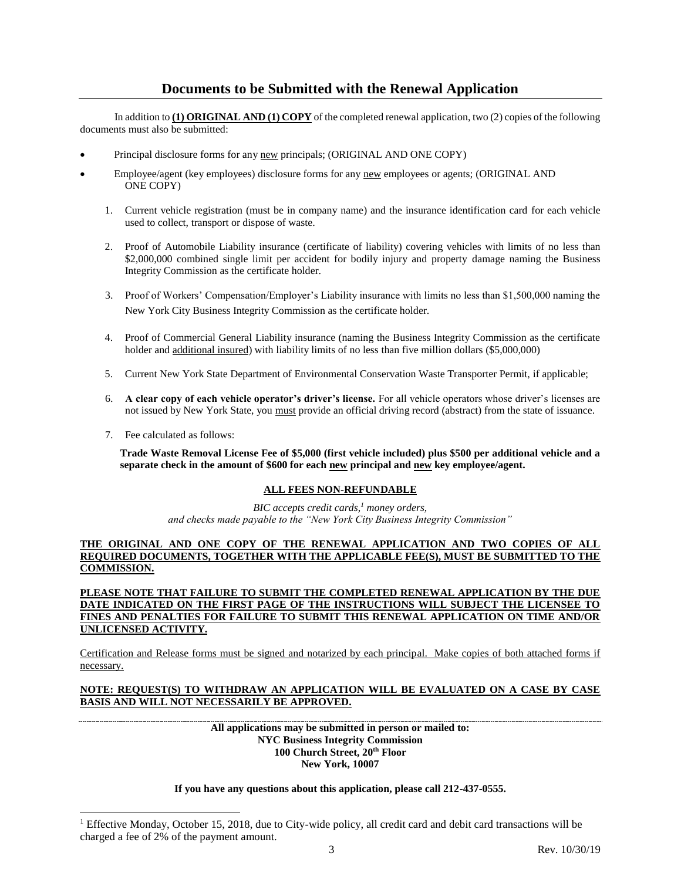## **Documents to be Submitted with the Renewal Application**

 In addition to **(1) ORIGINAL AND (1) COPY** of the completed renewal application, two (2) copies of the following documents must also be submitted:

- Principal disclosure forms for any new principals; (ORIGINAL AND ONE COPY)
- Employee/agent (key employees) disclosure forms for any new employees or agents; (ORIGINAL AND ONE COPY)
	- 1. Current vehicle registration (must be in company name) and the insurance identification card for each vehicle used to collect, transport or dispose of waste.
	- 2. Proof of Automobile Liability insurance (certificate of liability) covering vehicles with limits of no less than \$2,000,000 combined single limit per accident for bodily injury and property damage naming the Business Integrity Commission as the certificate holder.
	- 3. Proof of Workers' Compensation/Employer's Liability insurance with limits no less than \$1,500,000 naming the New York City Business Integrity Commission as the certificate holder.
	- 4. Proof of Commercial General Liability insurance (naming the Business Integrity Commission as the certificate holder and additional insured) with liability limits of no less than five million dollars (\$5,000,000)
	- 5. Current New York State Department of Environmental Conservation Waste Transporter Permit, if applicable;
	- 6. **A clear copy of each vehicle operator's driver's license.** For all vehicle operators whose driver's licenses are not issued by New York State, you must provide an official driving record (abstract) from the state of issuance.
	- 7. Fee calculated as follows:

 $\overline{a}$ 

**Trade Waste Removal License Fee of \$5,000 (first vehicle included) plus \$500 per additional vehicle and a separate check in the amount of \$600 for each new principal and new key employee/agent.**

### **ALL FEES NON-REFUNDABLE**

*BIC accepts credit cards,<sup>1</sup> money orders, and checks made payable to the "New York City Business Integrity Commission"*

#### **THE ORIGINAL AND ONE COPY OF THE RENEWAL APPLICATION AND TWO COPIES OF ALL REQUIRED DOCUMENTS, TOGETHER WITH THE APPLICABLE FEE(S), MUST BE SUBMITTED TO THE COMMISSION.**

#### **PLEASE NOTE THAT FAILURE TO SUBMIT THE COMPLETED RENEWAL APPLICATION BY THE DUE DATE INDICATED ON THE FIRST PAGE OF THE INSTRUCTIONS WILL SUBJECT THE LICENSEE TO FINES AND PENALTIES FOR FAILURE TO SUBMIT THIS RENEWAL APPLICATION ON TIME AND/OR UNLICENSED ACTIVITY.**

Certification and Release forms must be signed and notarized by each principal. Make copies of both attached forms if necessary.

### **NOTE: REQUEST(S) TO WITHDRAW AN APPLICATION WILL BE EVALUATED ON A CASE BY CASE BASIS AND WILL NOT NECESSARILY BE APPROVED.**

#### **All applications may be submitted in person or mailed to: NYC Business Integrity Commission 100 Church Street, 20th Floor New York, 10007**

#### **If you have any questions about this application, please call 212-437-0555.**

<sup>&</sup>lt;sup>1</sup> Effective Monday, October 15, 2018, due to City-wide policy, all credit card and debit card transactions will be charged a fee of 2% of the payment amount.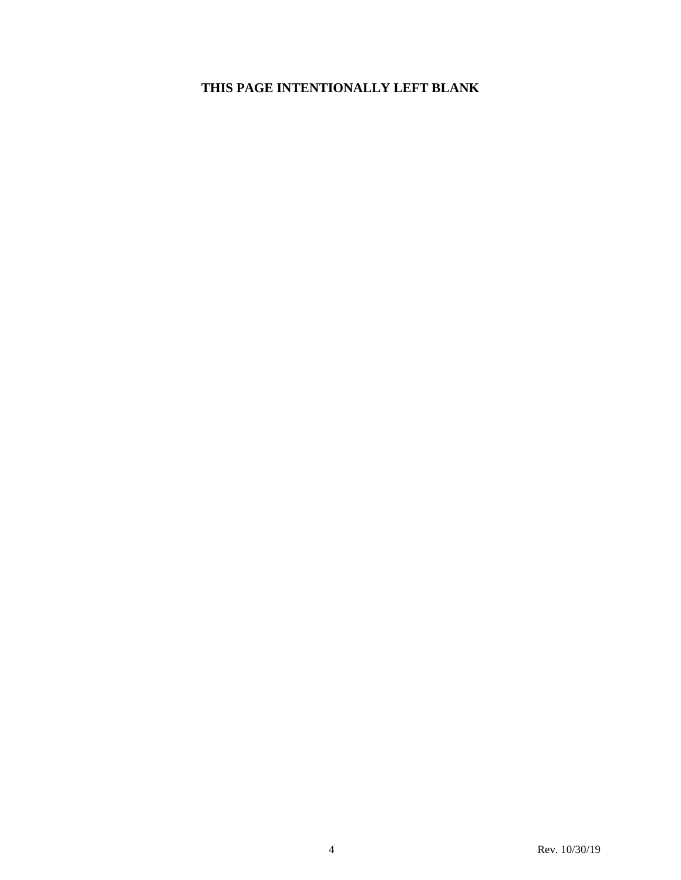## **THIS PAGE INTENTIONALLY LEFT BLANK**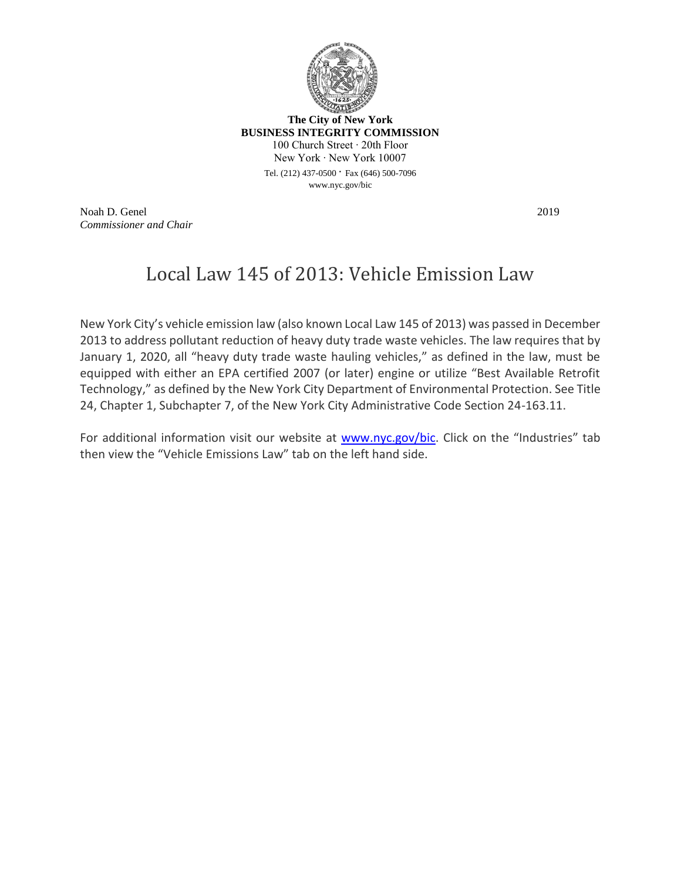

**The City of New York BUSINESS INTEGRITY COMMISSION** 100 Church Street ∙ 20th Floor New York ∙ New York 10007 Tel. (212) 437-0500 ∙ Fax (646) 500-7096 www.nyc.gov/bic

Noah D. Genel 2019 *Commissioner and Chair*

# Local Law 145 of 2013: Vehicle Emission Law

New York City's vehicle emission law (also known Local Law 145 of 2013) was passed in December 2013 to address pollutant reduction of heavy duty trade waste vehicles. The law requires that by January 1, 2020, all "heavy duty trade waste hauling vehicles," as defined in the law, must be equipped with either an EPA certified 2007 (or later) engine or utilize "Best Available Retrofit Technology," as defined by the New York City Department of Environmental Protection. See Title 24, Chapter 1, Subchapter 7, of the New York City Administrative Code Section 24-163.11.

For additional information visit our website at [www.nyc.gov/bic](http://www.nyc.gov/bic). Click on the "Industries" tab then view the "Vehicle Emissions Law" tab on the left hand side.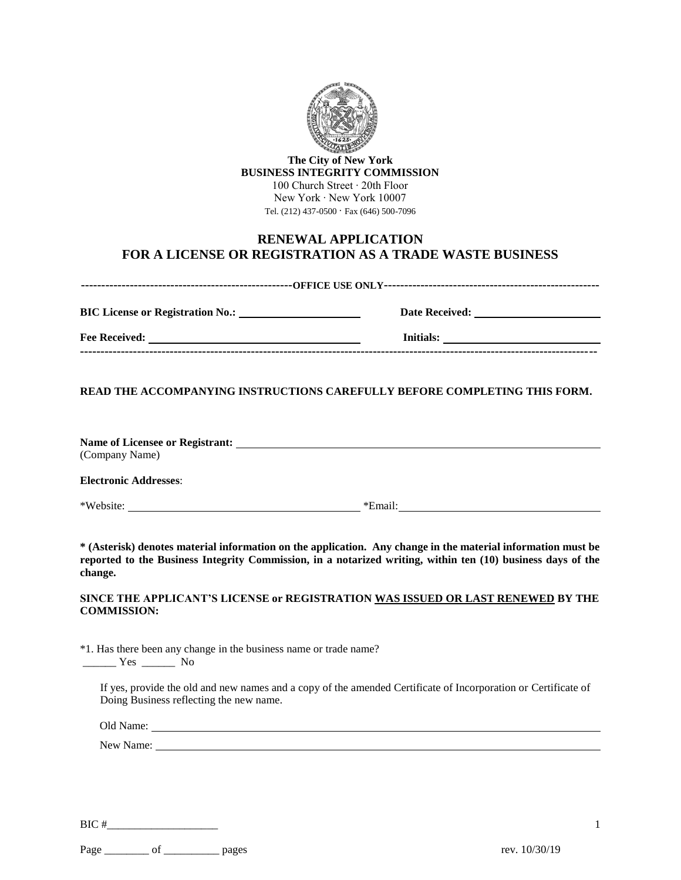

#### **The City of New York BUSINESS INTEGRITY COMMISSION** 100 Church Street ∙ 20th Floor New York ∙ New York 10007 Tel. (212) 437-0500 ∙ Fax (646) 500-7096

## **RENEWAL APPLICATION FOR A LICENSE OR REGISTRATION AS A TRADE WASTE BUSINESS**

| <b>BIC License or Registration No.:</b> | <b>Date Received:</b> |  |  |  |
|-----------------------------------------|-----------------------|--|--|--|
| <b>Fee Received:</b>                    | Initials:             |  |  |  |

### **READ THE ACCOMPANYING INSTRUCTIONS CAREFULLY BEFORE COMPLETING THIS FORM.**

| <b>Name of Licensee or Registrant:</b> |  |
|----------------------------------------|--|
| (Company Name)                         |  |

**Electronic Addresses**:

\*Website: \*Email:

**\* (Asterisk) denotes material information on the application. Any change in the material information must be reported to the Business Integrity Commission, in a notarized writing, within ten (10) business days of the change.** 

### **SINCE THE APPLICANT'S LICENSE or REGISTRATION WAS ISSUED OR LAST RENEWED BY THE COMMISSION:**

\*1. Has there been any change in the business name or trade name? Yes No

If yes, provide the old and new names and a copy of the amended Certificate of Incorporation or Certificate of Doing Business reflecting the new name.

Old Name:

New Name:

| BIC# |
|------|
|------|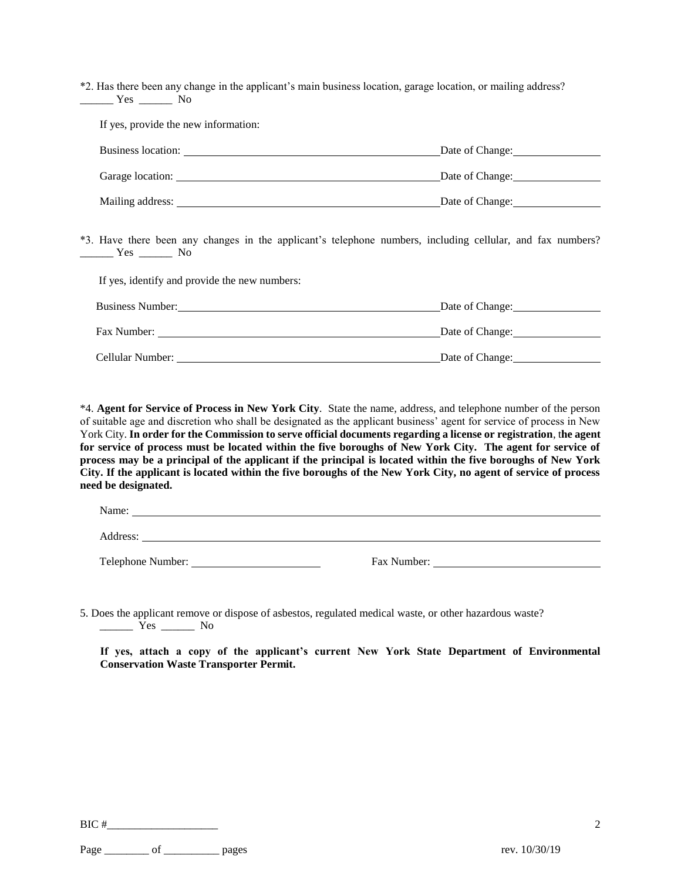\*2. Has there been any change in the applicant's main business location, garage location, or mailing address? \_\_\_\_\_\_ Yes \_\_\_\_\_\_ No

If yes, provide the new information:

| Business location: | Date of Change: |
|--------------------|-----------------|
| Garage location:   | Date of Change: |
| Mailing address:   | Date of Change: |

\*3. Have there been any changes in the applicant's telephone numbers, including cellular, and fax numbers? \_\_\_\_\_\_ Yes \_\_\_\_\_\_ No

If yes, identify and provide the new numbers:

| <b>Business Number:</b> | Date of Change: |
|-------------------------|-----------------|
| Fax Number:             | Date of Change: |
| Cellular Number:        | Date of Change: |

\*4. **Agent for Service of Process in New York City**. State the name, address, and telephone number of the person of suitable age and discretion who shall be designated as the applicant business' agent for service of process in New York City. **In order for the Commission to serve official documents regarding a license or registration**, t**he agent for service of process must be located within the five boroughs of New York City. The agent for service of process may be a principal of the applicant if the principal is located within the five boroughs of New York City. If the applicant is located within the five boroughs of the New York City, no agent of service of process need be designated.** 

Name: Name: Name: Name: Name: Name: Name: Name: Name: Name: Name: Name: Name: Name: Name: Name: Name: Name: Name: Name: Name: Name: Name: Name: Name: Name: Name: Name: Name: Name: Name: Name: Name: Name: Name: Name: Name:

Address: <u>Address:</u> Address: Address: Address: Address: Address: Address: Address: Address: Address: Address: Address: Address: Address: Address: Address: Address: Address: Address: Address: Address: Address: Address: Addr

Telephone Number: Fax Number:

5. Does the applicant remove or dispose of asbestos, regulated medical waste, or other hazardous waste? \_\_\_\_\_\_ Yes \_\_\_\_\_\_ No

**If yes, attach a copy of the applicant's current New York State Department of Environmental Conservation Waste Transporter Permit.**

 $BIC \#$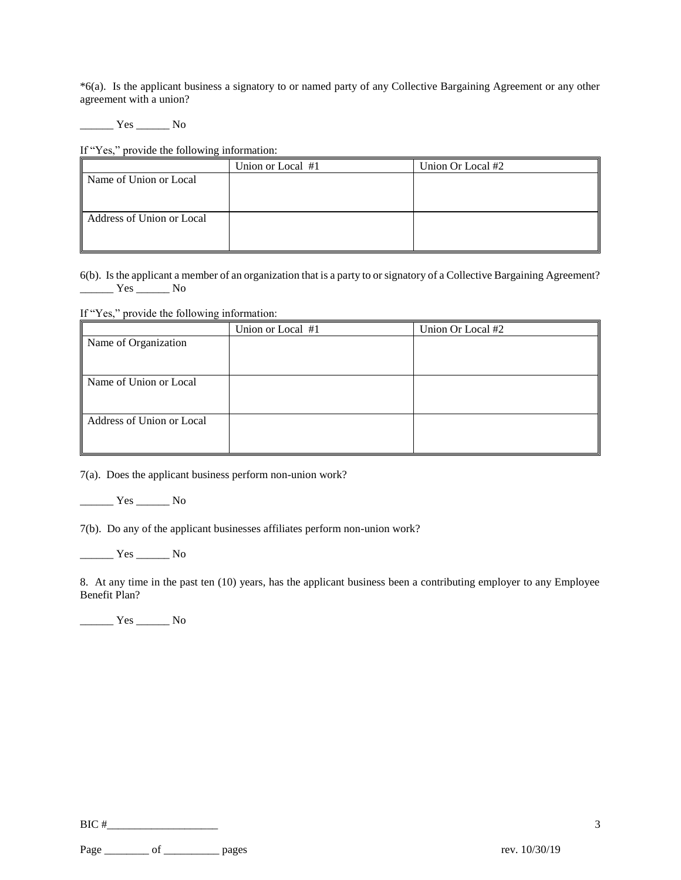\*6(a). Is the applicant business a signatory to or named party of any Collective Bargaining Agreement or any other agreement with a union?

\_\_\_\_\_\_ Yes \_\_\_\_\_\_ No

If "Yes," provide the following information:

|                           | Union or Local #1 | Union Or Local #2 |
|---------------------------|-------------------|-------------------|
| Name of Union or Local    |                   |                   |
|                           |                   |                   |
|                           |                   |                   |
| Address of Union or Local |                   |                   |
|                           |                   |                   |
|                           |                   |                   |

6(b). Is the applicant a member of an organization that is a party to or signatory of a Collective Bargaining Agreement? \_\_\_\_\_\_ Yes \_\_\_\_\_\_ No

If "Yes," provide the following information:

|                           | Union or Local #1 | Union Or Local #2 |
|---------------------------|-------------------|-------------------|
| Name of Organization      |                   |                   |
|                           |                   |                   |
|                           |                   |                   |
| Name of Union or Local    |                   |                   |
|                           |                   |                   |
|                           |                   |                   |
| Address of Union or Local |                   |                   |
|                           |                   |                   |
|                           |                   |                   |

7(a). Does the applicant business perform non-union work?

\_\_\_\_\_\_ Yes \_\_\_\_\_\_ No

7(b). Do any of the applicant businesses affiliates perform non-union work?

\_\_\_\_\_\_ Yes \_\_\_\_\_\_ No

8. At any time in the past ten (10) years, has the applicant business been a contributing employer to any Employee Benefit Plan?

\_\_\_\_\_\_ Yes \_\_\_\_\_\_ No

| <b>DIC</b><br>$\sim$ . |  |
|------------------------|--|
|------------------------|--|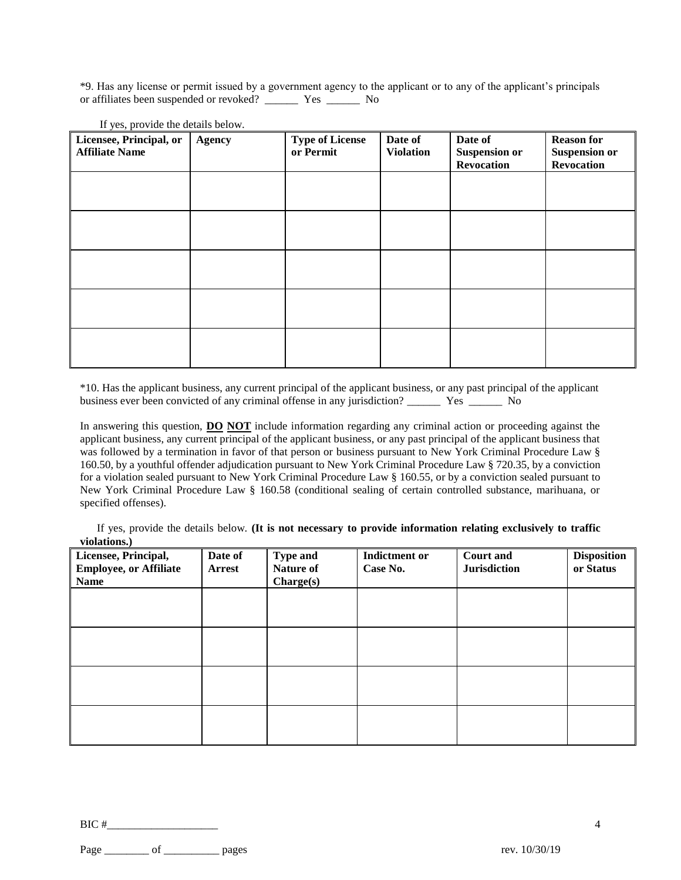\*9. Has any license or permit issued by a government agency to the applicant or to any of the applicant's principals or affiliates been suspended or revoked? \_\_\_\_\_\_ Yes \_\_\_\_\_\_ No

| -- <i>」</i> --,r<br>Licensee, Principal, or<br><b>Affiliate Name</b> | <b>Agency</b> | <b>Type of License</b><br>or Permit | Date of<br><b>Violation</b> | Date of<br><b>Suspension or</b><br><b>Revocation</b> | <b>Reason for</b><br><b>Suspension or</b><br><b>Revocation</b> |
|----------------------------------------------------------------------|---------------|-------------------------------------|-----------------------------|------------------------------------------------------|----------------------------------------------------------------|
|                                                                      |               |                                     |                             |                                                      |                                                                |
|                                                                      |               |                                     |                             |                                                      |                                                                |
|                                                                      |               |                                     |                             |                                                      |                                                                |
|                                                                      |               |                                     |                             |                                                      |                                                                |
|                                                                      |               |                                     |                             |                                                      |                                                                |

If yes, provide the details below.

\*10. Has the applicant business, any current principal of the applicant business, or any past principal of the applicant business ever been convicted of any criminal offense in any jurisdiction? \_\_\_\_\_\_ Yes \_\_\_\_\_\_ No

In answering this question, **DO NOT** include information regarding any criminal action or proceeding against the applicant business, any current principal of the applicant business, or any past principal of the applicant business that was followed by a termination in favor of that person or business pursuant to New York Criminal Procedure Law § 160.50, by a youthful offender adjudication pursuant to New York Criminal Procedure Law § 720.35, by a conviction for a violation sealed pursuant to New York Criminal Procedure Law § 160.55, or by a conviction sealed pursuant to New York Criminal Procedure Law § 160.58 (conditional sealing of certain controlled substance, marihuana, or specified offenses).

 If yes, provide the details below. **(It is not necessary to provide information relating exclusively to traffic violations.)** 

| Licensee, Principal,<br><b>Employee, or Affiliate</b><br><b>Name</b> | Date of<br>Arrest | <b>Type and</b><br>Nature of<br>Charge(s) | <b>Indictment</b> or<br>Case No. | <b>Court and</b><br><b>Jurisdiction</b> | <b>Disposition</b><br>or Status |
|----------------------------------------------------------------------|-------------------|-------------------------------------------|----------------------------------|-----------------------------------------|---------------------------------|
|                                                                      |                   |                                           |                                  |                                         |                                 |
|                                                                      |                   |                                           |                                  |                                         |                                 |
|                                                                      |                   |                                           |                                  |                                         |                                 |
|                                                                      |                   |                                           |                                  |                                         |                                 |

| ּ רז ה<br>$^{\prime}$<br>DIC<br>__ |  |  |
|------------------------------------|--|--|
|                                    |  |  |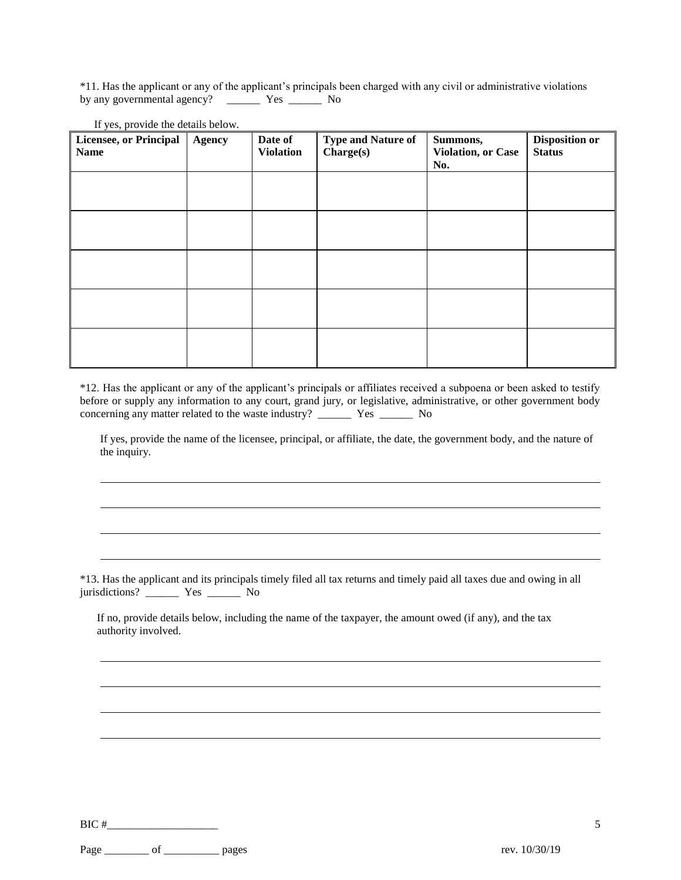\*11. Has the applicant or any of the applicant's principals been charged with any civil or administrative violations by any governmental agency? \_\_\_\_\_\_ Yes \_\_\_\_\_\_ No

| <b>Licensee, or Principal</b><br><b>Name</b> | <b>Agency</b> | Date of<br><b>Violation</b> | <b>Type and Nature of</b><br>Charge(s) | Summons,<br><b>Violation, or Case</b><br>No. | <b>Disposition or</b><br><b>Status</b> |
|----------------------------------------------|---------------|-----------------------------|----------------------------------------|----------------------------------------------|----------------------------------------|
|                                              |               |                             |                                        |                                              |                                        |
|                                              |               |                             |                                        |                                              |                                        |
|                                              |               |                             |                                        |                                              |                                        |
|                                              |               |                             |                                        |                                              |                                        |
|                                              |               |                             |                                        |                                              |                                        |

If yes, provide the details below.

\*12. Has the applicant or any of the applicant's principals or affiliates received a subpoena or been asked to testify before or supply any information to any court, grand jury, or legislative, administrative, or other government body concerning any matter related to the waste industry? \_\_\_\_\_\_ Yes \_\_\_\_\_\_ No

If yes, provide the name of the licensee, principal, or affiliate, the date, the government body, and the nature of the inquiry.

\*13. Has the applicant and its principals timely filed all tax returns and timely paid all taxes due and owing in all jurisdictions? \_\_\_\_\_\_ Yes \_\_\_\_\_\_ No

 If no, provide details below, including the name of the taxpayer, the amount owed (if any), and the tax authority involved.

 $BIC \#$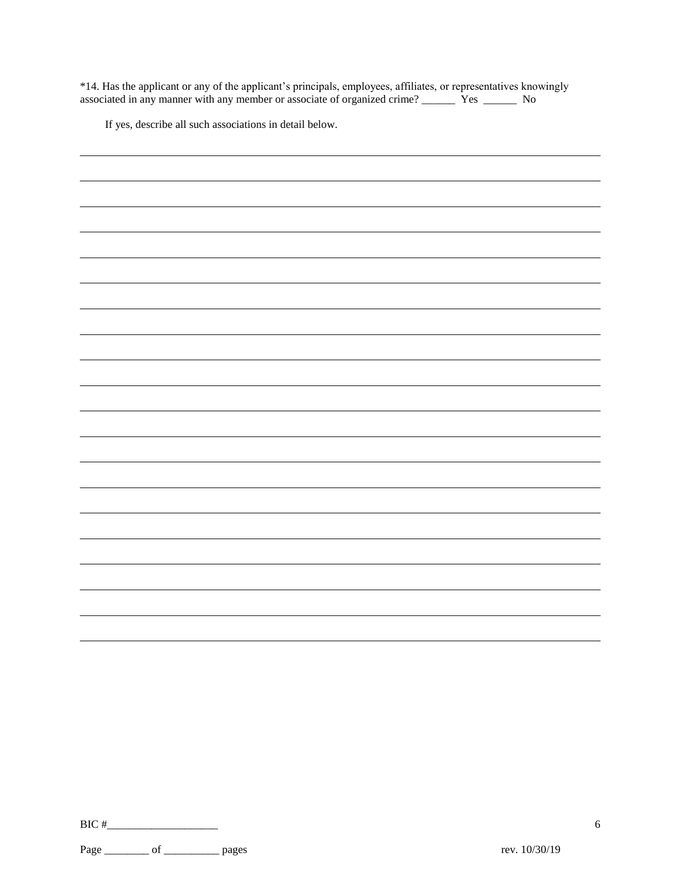\*14. Has the applicant or any of the applicant's principals, employees, affiliates, or representatives knowingly associated in any manner with any member or associate of organized crime? \_\_\_\_\_\_ Yes \_\_\_\_\_\_ No

If yes, describe all such associations in detail below.

 $BIC \#$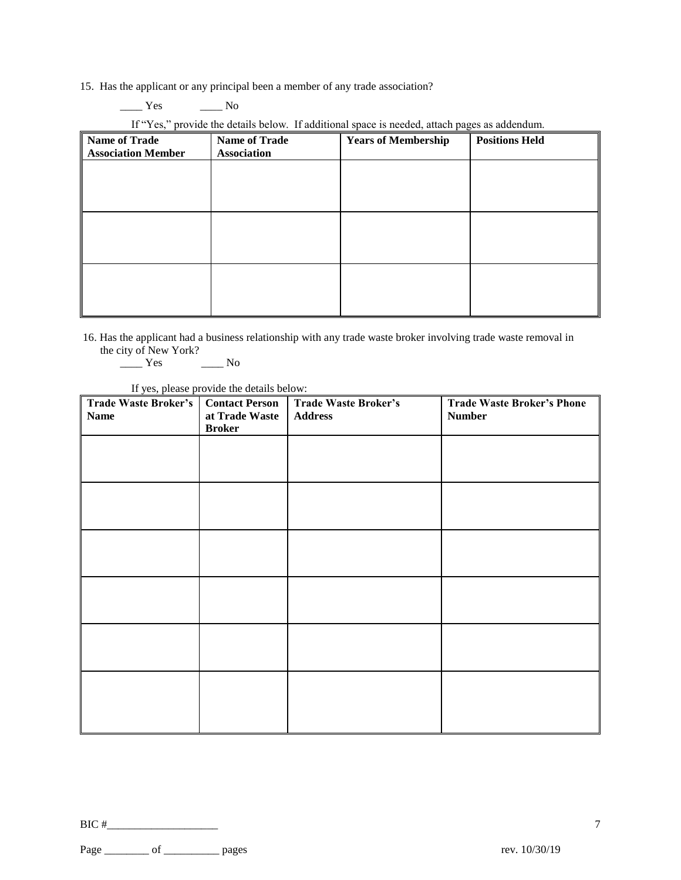15. Has the applicant or any principal been a member of any trade association?

\_\_\_\_ Yes \_\_\_\_ No

If "Yes," provide the details below. If additional space is needed, attach pages as addendum.

| <b>Name of Trade</b><br><b>Association Member</b> | <b>Name of Trade</b><br>Association | <b>Years of Membership</b> | <b>Positions Held</b> |
|---------------------------------------------------|-------------------------------------|----------------------------|-----------------------|
|                                                   |                                     |                            |                       |
|                                                   |                                     |                            |                       |
|                                                   |                                     |                            |                       |
|                                                   |                                     |                            |                       |
|                                                   |                                     |                            |                       |
|                                                   |                                     |                            |                       |

16. Has the applicant had a business relationship with any trade waste broker involving trade waste removal in the city of New York?<br>
\_\_\_\_\_ Yes \_\_\_\_\_\_\_\_ No

 $\frac{1}{\sqrt{2}}$  Yes

If yes, please provide the details below:

| <b>Trade Waste Broker's</b><br><b>Name</b> | <b>Contact Person</b><br>at Trade Waste<br><b>Broker</b> | <b>Trade Waste Broker's</b><br><b>Address</b> | <b>Trade Waste Broker's Phone</b><br><b>Number</b> |
|--------------------------------------------|----------------------------------------------------------|-----------------------------------------------|----------------------------------------------------|
|                                            |                                                          |                                               |                                                    |
|                                            |                                                          |                                               |                                                    |
|                                            |                                                          |                                               |                                                    |
|                                            |                                                          |                                               |                                                    |
|                                            |                                                          |                                               |                                                    |
|                                            |                                                          |                                               |                                                    |
|                                            |                                                          |                                               |                                                    |
|                                            |                                                          |                                               |                                                    |

 $BIC \#$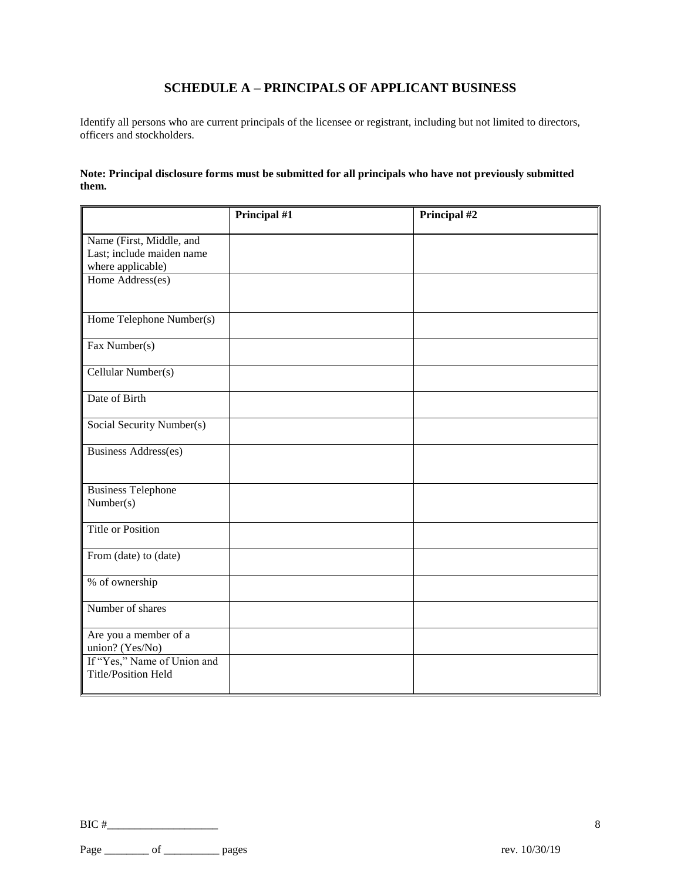## **SCHEDULE A – PRINCIPALS OF APPLICANT BUSINESS**

Identify all persons who are current principals of the licensee or registrant, including but not limited to directors, officers and stockholders.

**Note: Principal disclosure forms must be submitted for all principals who have not previously submitted them.**

|                                                           | Principal #1 | Principal #2 |
|-----------------------------------------------------------|--------------|--------------|
| Name (First, Middle, and                                  |              |              |
| Last; include maiden name                                 |              |              |
| where applicable)                                         |              |              |
| Home Address(es)                                          |              |              |
|                                                           |              |              |
| Home Telephone Number(s)                                  |              |              |
| Fax Number(s)                                             |              |              |
| Cellular Number(s)                                        |              |              |
| Date of Birth                                             |              |              |
| Social Security Number(s)                                 |              |              |
| <b>Business Address(es)</b>                               |              |              |
| <b>Business Telephone</b><br>Number(s)                    |              |              |
| <b>Title or Position</b>                                  |              |              |
| From (date) to (date)                                     |              |              |
| % of ownership                                            |              |              |
| Number of shares                                          |              |              |
| Are you a member of a<br>union? (Yes/No)                  |              |              |
| If "Yes," Name of Union and<br><b>Title/Position Held</b> |              |              |
|                                                           |              |              |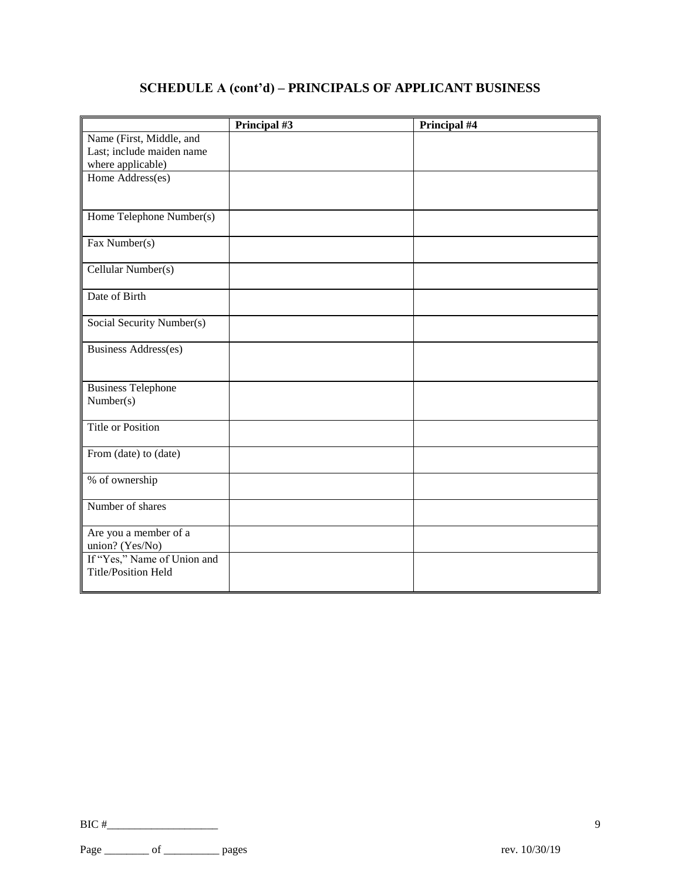## **SCHEDULE A (cont'd) – PRINCIPALS OF APPLICANT BUSINESS**

|                                                           | Principal #3 | Principal #4 |
|-----------------------------------------------------------|--------------|--------------|
| Name (First, Middle, and                                  |              |              |
| Last; include maiden name                                 |              |              |
| where applicable)                                         |              |              |
| Home Address(es)                                          |              |              |
|                                                           |              |              |
| Home Telephone Number(s)                                  |              |              |
| Fax Number(s)                                             |              |              |
| Cellular Number(s)                                        |              |              |
| Date of Birth                                             |              |              |
| Social Security Number(s)                                 |              |              |
| <b>Business Address(es)</b>                               |              |              |
| <b>Business Telephone</b><br>Number(s)                    |              |              |
| <b>Title or Position</b>                                  |              |              |
| From (date) to (date)                                     |              |              |
| % of ownership                                            |              |              |
| Number of shares                                          |              |              |
| Are you a member of a<br>union? (Yes/No)                  |              |              |
| If "Yes," Name of Union and<br><b>Title/Position Held</b> |              |              |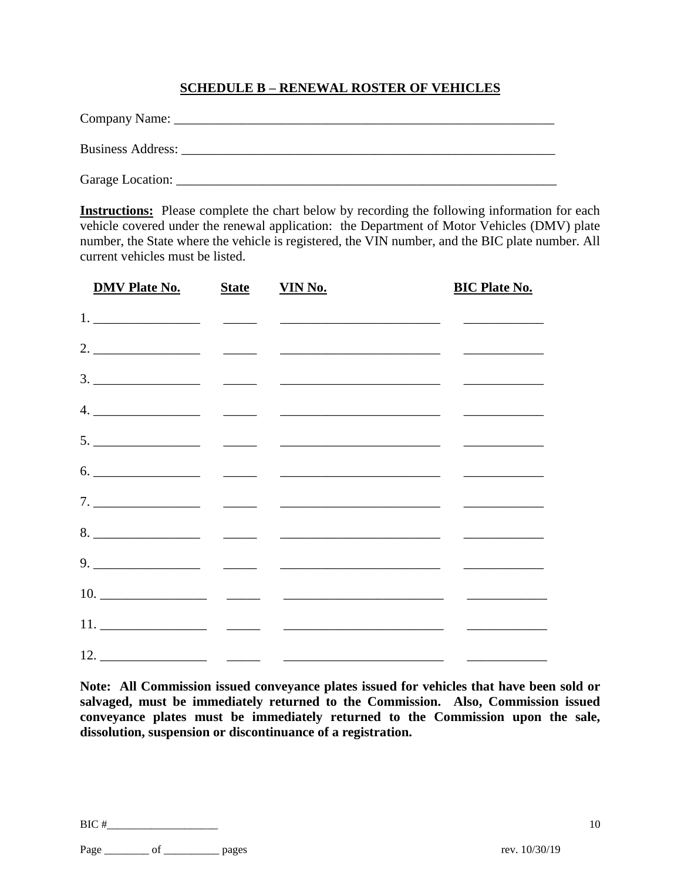## **SCHEDULE B – RENEWAL ROSTER OF VEHICLES**

| Company Name: _          |  |
|--------------------------|--|
| <b>Business Address:</b> |  |
| Garage Location:         |  |

**Instructions:** Please complete the chart below by recording the following information for each vehicle covered under the renewal application: the Department of Motor Vehicles (DMV) plate number, the State where the vehicle is registered, the VIN number, and the BIC plate number. All current vehicles must be listed.

| <u>DMV Plate No. State VIN No.</u> |  | <b>BIC Plate No.</b> |
|------------------------------------|--|----------------------|
|                                    |  |                      |
|                                    |  |                      |
|                                    |  |                      |
|                                    |  |                      |
|                                    |  |                      |
|                                    |  |                      |
|                                    |  |                      |
|                                    |  |                      |
|                                    |  |                      |
|                                    |  |                      |
|                                    |  |                      |
|                                    |  |                      |

**Note: All Commission issued conveyance plates issued for vehicles that have been sold or salvaged, must be immediately returned to the Commission. Also, Commission issued conveyance plates must be immediately returned to the Commission upon the sale, dissolution, suspension or discontinuance of a registration.** 

 $\text{BIC}$  #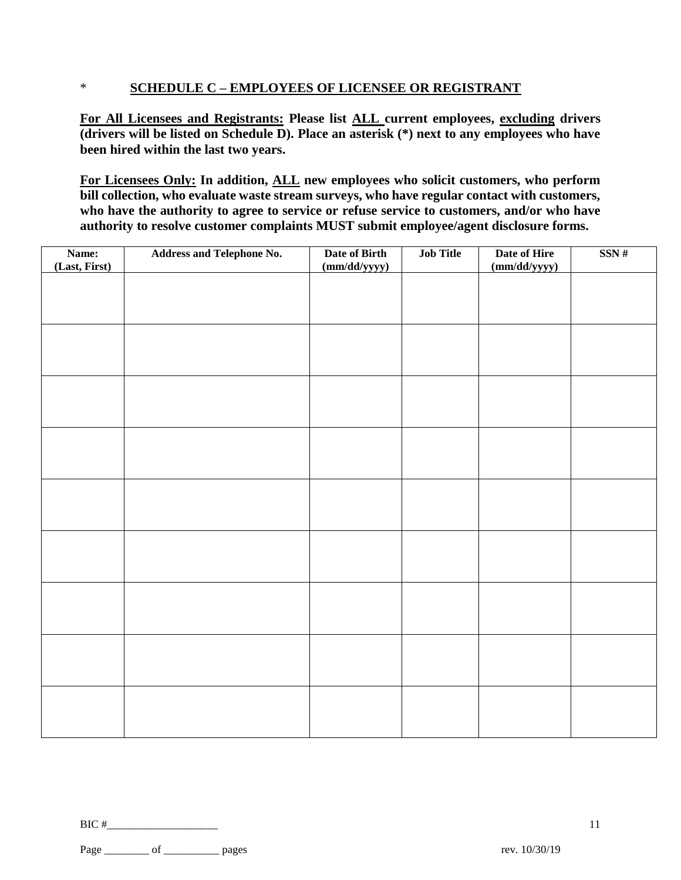## \* **SCHEDULE C – EMPLOYEES OF LICENSEE OR REGISTRANT**

**For All Licensees and Registrants: Please list ALL current employees, excluding drivers (drivers will be listed on Schedule D). Place an asterisk (\*) next to any employees who have been hired within the last two years.**

**For Licensees Only: In addition, ALL new employees who solicit customers, who perform bill collection, who evaluate waste stream surveys, who have regular contact with customers, who have the authority to agree to service or refuse service to customers, and/or who have authority to resolve customer complaints MUST submit employee/agent disclosure forms.**

| Name:         | <b>Address and Telephone No.</b> | Date of Birth | <b>Job Title</b> | Date of Hire | SSN# |
|---------------|----------------------------------|---------------|------------------|--------------|------|
| (Last, First) |                                  | (mm/dd/yyyy)  |                  | (mm/dd/yyyy) |      |
|               |                                  |               |                  |              |      |
|               |                                  |               |                  |              |      |
|               |                                  |               |                  |              |      |
|               |                                  |               |                  |              |      |
|               |                                  |               |                  |              |      |
|               |                                  |               |                  |              |      |
|               |                                  |               |                  |              |      |
|               |                                  |               |                  |              |      |
|               |                                  |               |                  |              |      |
|               |                                  |               |                  |              |      |
|               |                                  |               |                  |              |      |
|               |                                  |               |                  |              |      |
|               |                                  |               |                  |              |      |
|               |                                  |               |                  |              |      |
|               |                                  |               |                  |              |      |
|               |                                  |               |                  |              |      |
|               |                                  |               |                  |              |      |
|               |                                  |               |                  |              |      |
|               |                                  |               |                  |              |      |
|               |                                  |               |                  |              |      |
|               |                                  |               |                  |              |      |
|               |                                  |               |                  |              |      |
|               |                                  |               |                  |              |      |

| . .<br>--- |  |
|------------|--|
|            |  |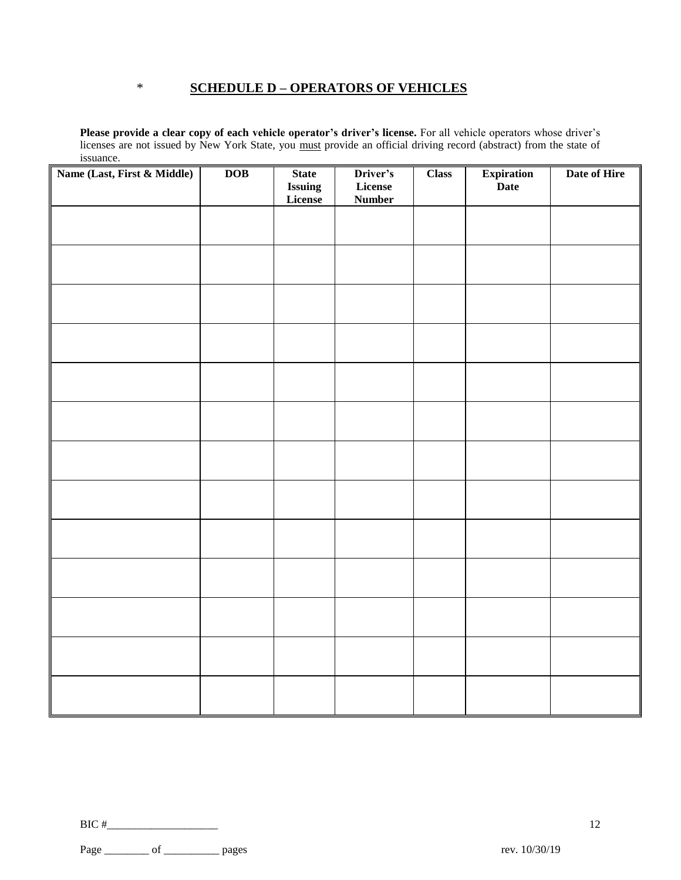## \* **SCHEDULE D – OPERATORS OF VEHICLES**

**Please provide a clear copy of each vehicle operator's driver's license.** For all vehicle operators whose driver's licenses are not issued by New York State, you must provide an official driving record (abstract) from the state of issuance.

| Name (Last, First & Middle) | DOB | <b>State</b><br>Issuing<br>License | Driver's<br>License<br><b>Number</b> | <b>Class</b> | <b>Expiration</b><br>Date | Date of Hire |
|-----------------------------|-----|------------------------------------|--------------------------------------|--------------|---------------------------|--------------|
|                             |     |                                    |                                      |              |                           |              |
|                             |     |                                    |                                      |              |                           |              |
|                             |     |                                    |                                      |              |                           |              |
|                             |     |                                    |                                      |              |                           |              |
|                             |     |                                    |                                      |              |                           |              |
|                             |     |                                    |                                      |              |                           |              |
|                             |     |                                    |                                      |              |                           |              |
|                             |     |                                    |                                      |              |                           |              |
|                             |     |                                    |                                      |              |                           |              |
|                             |     |                                    |                                      |              |                           |              |
|                             |     |                                    |                                      |              |                           |              |
|                             |     |                                    |                                      |              |                           |              |
|                             |     |                                    |                                      |              |                           |              |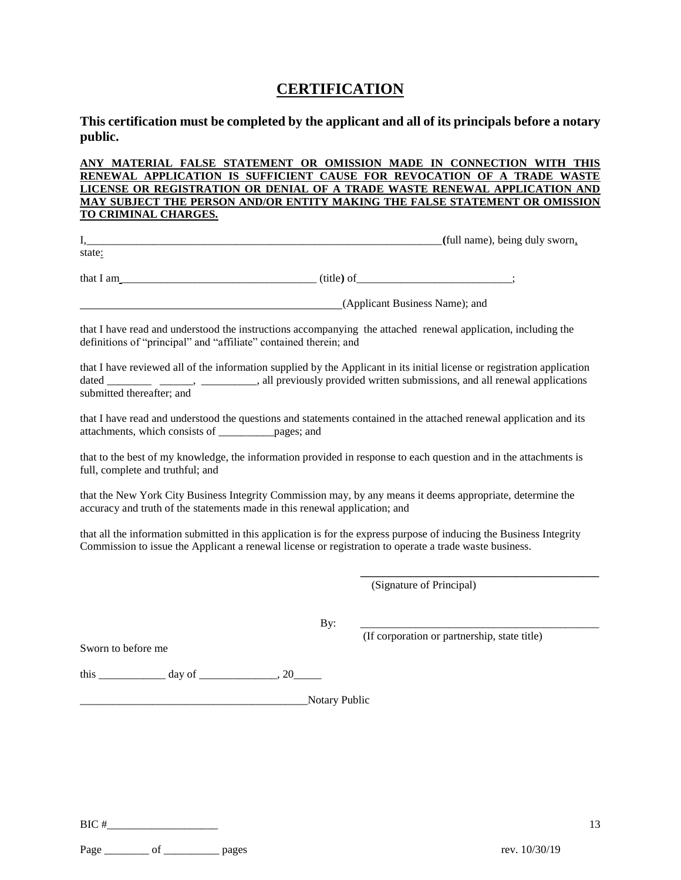## **CERTIFICATION**

### **This certification must be completed by the applicant and all of its principals before a notary public.**

### **ANY MATERIAL FALSE STATEMENT OR OMISSION MADE IN CONNECTION WITH THIS RENEWAL APPLICATION IS SUFFICIENT CAUSE FOR REVOCATION OF A TRADE WASTE LICENSE OR REGISTRATION OR DENIAL OF A TRADE WASTE RENEWAL APPLICATION AND MAY SUBJECT THE PERSON AND/OR ENTITY MAKING THE FALSE STATEMENT OR OMISSION TO CRIMINAL CHARGES.**

|            | (full name), being duly sworn, |
|------------|--------------------------------|
|            |                                |
| (title) of |                                |
|            |                                |

(Applicant Business Name); and

that I have read and understood the instructions accompanying the attached renewal application, including the definitions of "principal" and "affiliate" contained therein; and

that I have reviewed all of the information supplied by the Applicant in its initial license or registration application dated \_\_\_\_\_\_\_\_ \_\_\_\_\_, \_\_\_\_\_\_\_\_, all previously provided written submissions, and all renewal applications submitted thereafter; and

that I have read and understood the questions and statements contained in the attached renewal application and its attachments, which consists of \_\_\_\_\_\_\_\_\_\_pages; and

that to the best of my knowledge, the information provided in response to each question and in the attachments is full, complete and truthful; and

that the New York City Business Integrity Commission may, by any means it deems appropriate, determine the accuracy and truth of the statements made in this renewal application; and

that all the information submitted in this application is for the express purpose of inducing the Business Integrity Commission to issue the Applicant a renewal license or registration to operate a trade waste business.

(Signature of Principal)

By: \_\_\_\_\_\_\_\_\_\_\_\_\_\_\_\_\_\_\_\_\_\_\_\_\_\_\_\_\_\_\_\_\_\_\_\_\_\_\_\_\_\_\_

(If corporation or partnership, state title)

**\_\_\_\_\_\_\_\_\_\_\_\_\_\_\_\_\_\_\_\_\_\_\_\_\_\_\_\_\_\_\_\_\_\_\_\_\_\_\_\_\_\_\_**

Sworn to before me

this \_\_\_\_\_\_\_\_\_\_\_\_ day of \_\_\_\_\_\_\_\_\_\_\_\_\_\_, 20\_\_\_\_\_

\_\_\_\_\_\_\_\_\_\_\_\_\_\_\_\_\_\_\_\_\_\_\_\_\_\_\_\_\_\_\_\_\_\_\_\_\_\_\_\_\_Notary Public

 $BIC \#$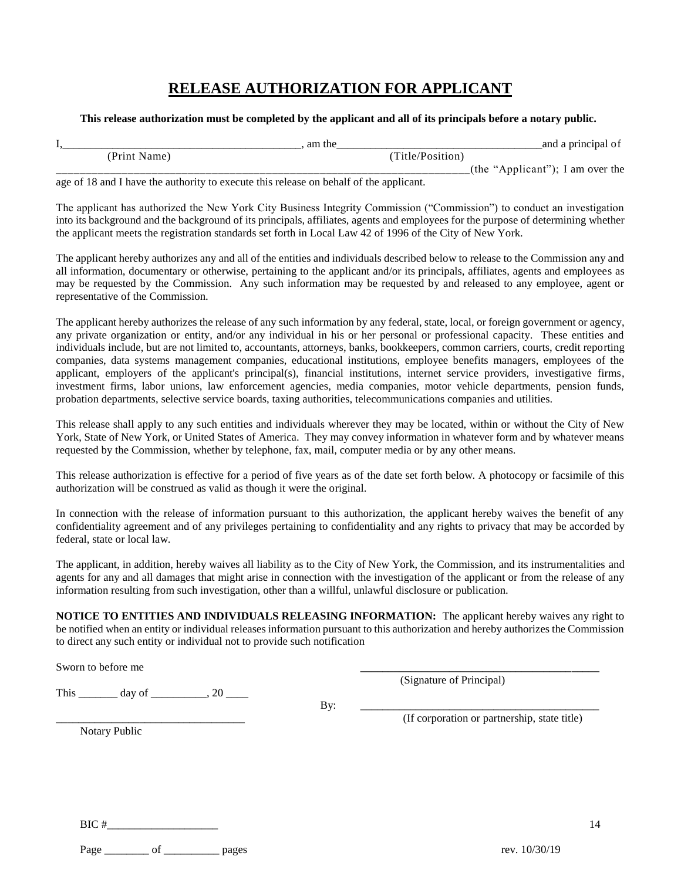## **RELEASE AUTHORIZATION FOR APPLICANT**

### **This release authorization must be completed by the applicant and all of its principals before a notary public.**

|              | am the           | and a principal of               |
|--------------|------------------|----------------------------------|
| (Print Name) | (Title/Position) |                                  |
|              |                  | (the "Applicant"); I am over the |

age of 18 and I have the authority to execute this release on behalf of the applicant.

The applicant has authorized the New York City Business Integrity Commission ("Commission") to conduct an investigation into its background and the background of its principals, affiliates, agents and employees for the purpose of determining whether the applicant meets the registration standards set forth in Local Law 42 of 1996 of the City of New York.

The applicant hereby authorizes any and all of the entities and individuals described below to release to the Commission any and all information, documentary or otherwise, pertaining to the applicant and/or its principals, affiliates, agents and employees as may be requested by the Commission. Any such information may be requested by and released to any employee, agent or representative of the Commission.

The applicant hereby authorizes the release of any such information by any federal, state, local, or foreign government or agency, any private organization or entity, and/or any individual in his or her personal or professional capacity. These entities and individuals include, but are not limited to, accountants, attorneys, banks, bookkeepers, common carriers, courts, credit reporting companies, data systems management companies, educational institutions, employee benefits managers, employees of the applicant, employers of the applicant's principal(s), financial institutions, internet service providers, investigative firms, investment firms, labor unions, law enforcement agencies, media companies, motor vehicle departments, pension funds, probation departments, selective service boards, taxing authorities, telecommunications companies and utilities.

This release shall apply to any such entities and individuals wherever they may be located, within or without the City of New York, State of New York, or United States of America. They may convey information in whatever form and by whatever means requested by the Commission, whether by telephone, fax, mail, computer media or by any other means.

This release authorization is effective for a period of five years as of the date set forth below. A photocopy or facsimile of this authorization will be construed as valid as though it were the original.

In connection with the release of information pursuant to this authorization, the applicant hereby waives the benefit of any confidentiality agreement and of any privileges pertaining to confidentiality and any rights to privacy that may be accorded by federal, state or local law.

The applicant, in addition, hereby waives all liability as to the City of New York, the Commission, and its instrumentalities and agents for any and all damages that might arise in connection with the investigation of the applicant or from the release of any information resulting from such investigation, other than a willful, unlawful disclosure or publication.

**NOTICE TO ENTITIES AND INDIVIDUALS RELEASING INFORMATION:** The applicant hereby waives any right to be notified when an entity or individual releases information pursuant to this authorization and hereby authorizes the Commission to direct any such entity or individual not to provide such notification

Sworn to before me

This \_\_\_\_\_\_\_ day of \_\_\_\_\_\_\_\_\_\_, 20 \_\_\_\_

(Signature of Principal)

By: \_\_\_\_\_\_\_\_\_\_\_\_\_\_\_\_\_\_\_\_\_\_\_\_\_\_\_\_\_\_\_\_\_\_\_\_\_\_\_\_\_\_\_

\_\_\_\_\_\_\_\_\_\_\_\_\_\_\_\_\_\_\_\_\_\_\_\_\_\_\_\_\_\_\_\_\_\_ (If corporation or partnership, state title)

Notary Public

 $BIC \#$